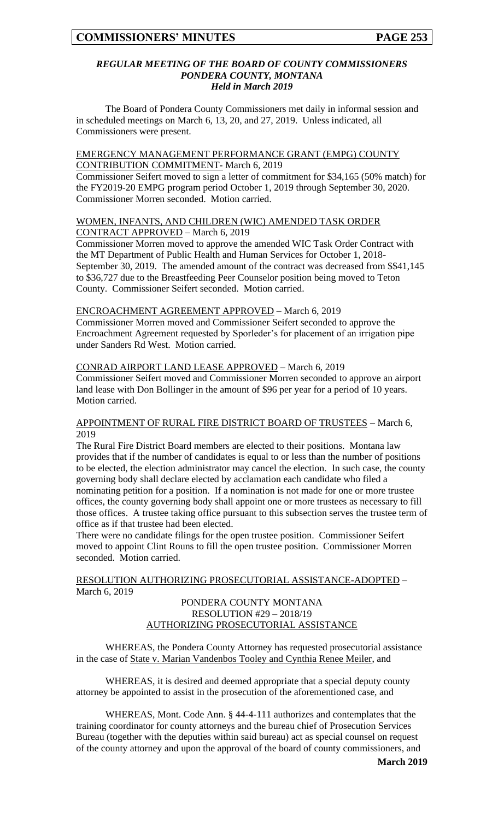#### *REGULAR MEETING OF THE BOARD OF COUNTY COMMISSIONERS PONDERA COUNTY, MONTANA Held in March 2019*

The Board of Pondera County Commissioners met daily in informal session and in scheduled meetings on March 6, 13, 20, and 27, 2019. Unless indicated, all Commissioners were present.

## EMERGENCY MANAGEMENT PERFORMANCE GRANT (EMPG) COUNTY CONTRIBUTION COMMITMENT- March 6, 2019

Commissioner Seifert moved to sign a letter of commitment for \$34,165 (50% match) for the FY2019-20 EMPG program period October 1, 2019 through September 30, 2020. Commissioner Morren seconded. Motion carried.

#### WOMEN, INFANTS, AND CHILDREN (WIC) AMENDED TASK ORDER CONTRACT APPROVED – March 6, 2019

Commissioner Morren moved to approve the amended WIC Task Order Contract with the MT Department of Public Health and Human Services for October 1, 2018- September 30, 2019. The amended amount of the contract was decreased from \$\$41,145 to \$36,727 due to the Breastfeeding Peer Counselor position being moved to Teton County. Commissioner Seifert seconded. Motion carried.

# ENCROACHMENT AGREEMENT APPROVED – March 6, 2019

Commissioner Morren moved and Commissioner Seifert seconded to approve the Encroachment Agreement requested by Sporleder's for placement of an irrigation pipe under Sanders Rd West. Motion carried.

## CONRAD AIRPORT LAND LEASE APPROVED – March 6, 2019

Commissioner Seifert moved and Commissioner Morren seconded to approve an airport land lease with Don Bollinger in the amount of \$96 per year for a period of 10 years. Motion carried.

#### APPOINTMENT OF RURAL FIRE DISTRICT BOARD OF TRUSTEES – March 6, 2019

The Rural Fire District Board members are elected to their positions. Montana law provides that if the number of candidates is equal to or less than the number of positions to be elected, the election administrator may cancel the election. In such case, the county governing body shall declare elected by acclamation each candidate who filed a nominating petition for a position. If a nomination is not made for one or more trustee offices, the county governing body shall appoint one or more trustees as necessary to fill those offices. A trustee taking office pursuant to this subsection serves the trustee term of office as if that trustee had been elected.

There were no candidate filings for the open trustee position. Commissioner Seifert moved to appoint Clint Rouns to fill the open trustee position. Commissioner Morren seconded. Motion carried.

## RESOLUTION AUTHORIZING PROSECUTORIAL ASSISTANCE-ADOPTED – March 6, 2019

## PONDERA COUNTY MONTANA RESOLUTION #29 – 2018/19 AUTHORIZING PROSECUTORIAL ASSISTANCE

WHEREAS, the Pondera County Attorney has requested prosecutorial assistance in the case of State v. Marian Vandenbos Tooley and Cynthia Renee Meiler, and

WHEREAS, it is desired and deemed appropriate that a special deputy county attorney be appointed to assist in the prosecution of the aforementioned case, and

WHEREAS, Mont. Code Ann. § 44-4-111 authorizes and contemplates that the training coordinator for county attorneys and the bureau chief of Prosecution Services Bureau (together with the deputies within said bureau) act as special counsel on request of the county attorney and upon the approval of the board of county commissioners, and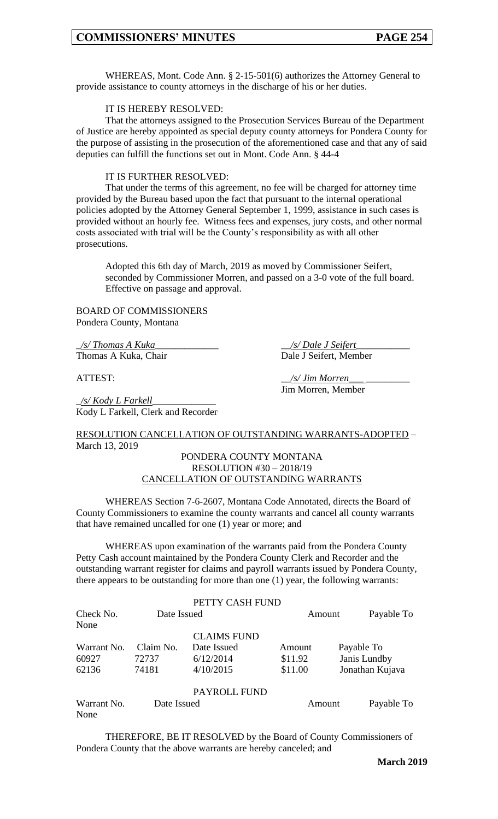WHEREAS, Mont. Code Ann. § 2-15-501(6) authorizes the Attorney General to provide assistance to county attorneys in the discharge of his or her duties.

#### IT IS HEREBY RESOLVED:

That the attorneys assigned to the Prosecution Services Bureau of the Department of Justice are hereby appointed as special deputy county attorneys for Pondera County for the purpose of assisting in the prosecution of the aforementioned case and that any of said deputies can fulfill the functions set out in Mont. Code Ann. § 44-4

#### IT IS FURTHER RESOLVED:

That under the terms of this agreement, no fee will be charged for attorney time provided by the Bureau based upon the fact that pursuant to the internal operational policies adopted by the Attorney General September 1, 1999, assistance in such cases is provided without an hourly fee. Witness fees and expenses, jury costs, and other normal costs associated with trial will be the County's responsibility as with all other prosecutions.

Adopted this 6th day of March, 2019 as moved by Commissioner Seifert, seconded by Commissioner Morren, and passed on a 3-0 vote of the full board. Effective on passage and approval.

BOARD OF COMMISSIONERS Pondera County, Montana

\_*/s/ Thomas A Kuka*\_\_\_\_\_\_\_\_\_\_\_\_\_ \_\_*/s/ Dale J Seifert*\_\_\_\_\_\_\_\_\_\_\_ Thomas A Kuka, Chair

\_*/s/ Kody L Farkell*\_\_\_\_\_\_\_\_\_\_\_\_\_ Kody L Farkell, Clerk and Recorder

ATTEST:  $\frac{1}{s}$  *\_/s/ Jim Morren\_* Jim Morren, Member

## RESOLUTION CANCELLATION OF OUTSTANDING WARRANTS-ADOPTED – March 13, 2019

#### PONDERA COUNTY MONTANA RESOLUTION #30 – 2018/19 CANCELLATION OF OUTSTANDING WARRANTS

WHEREAS Section 7-6-2607, Montana Code Annotated, directs the Board of County Commissioners to examine the county warrants and cancel all county warrants that have remained uncalled for one (1) year or more; and

WHEREAS upon examination of the warrants paid from the Pondera County Petty Cash account maintained by the Pondera County Clerk and Recorder and the outstanding warrant register for claims and payroll warrants issued by Pondera County, there appears to be outstanding for more than one (1) year, the following warrants:

|                     |             | PETTY CASH FUND    |         |                 |              |
|---------------------|-------------|--------------------|---------|-----------------|--------------|
| Check No.           | Date Issued |                    | Amount  |                 | Payable To   |
| None                |             |                    |         |                 |              |
|                     |             | <b>CLAIMS FUND</b> |         |                 |              |
| Warrant No.         | Claim No.   | Date Issued        | Amount  |                 | Payable To   |
| 60927               | 72737       | 6/12/2014          | \$11.92 |                 | Janis Lundby |
| 62136               | 74181       | 4/10/2015          | \$11.00 | Jonathan Kujava |              |
|                     |             | PAYROLL FUND       |         |                 |              |
| Warrant No.<br>None | Date Issued |                    | Amount  |                 | Payable To   |

THEREFORE, BE IT RESOLVED by the Board of County Commissioners of Pondera County that the above warrants are hereby canceled; and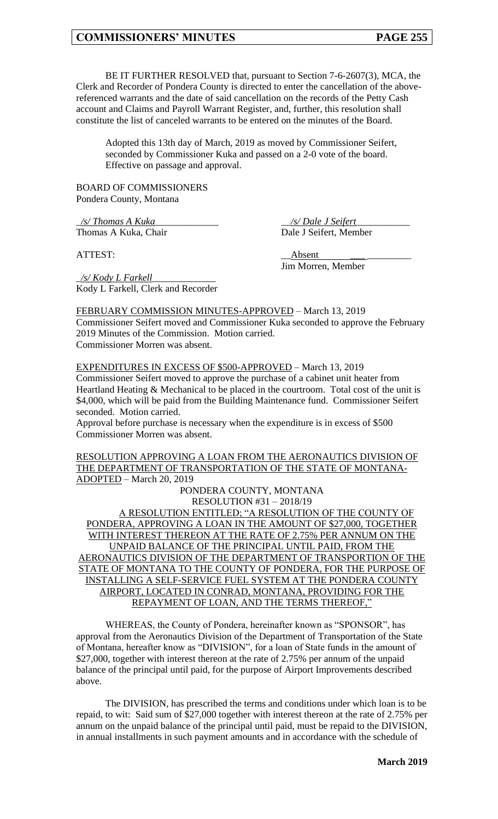BE IT FURTHER RESOLVED that, pursuant to Section 7-6-2607(3), MCA, the Clerk and Recorder of Pondera County is directed to enter the cancellation of the abovereferenced warrants and the date of said cancellation on the records of the Petty Cash account and Claims and Payroll Warrant Register, and, further, this resolution shall constitute the list of canceled warrants to be entered on the minutes of the Board.

Adopted this 13th day of March, 2019 as moved by Commissioner Seifert, seconded by Commissioner Kuka and passed on a 2-0 vote of the board. Effective on passage and approval.

BOARD OF COMMISSIONERS Pondera County, Montana

Kody L Farkell, Clerk and Recorder

\_*/s/ Thomas A Kuka*\_\_\_\_\_\_\_\_\_\_\_\_\_ \_\_*/s/ Dale J Seifert*\_\_\_\_\_\_\_\_\_\_\_ Thomas A Kuka, Chair Dale J Seifert, Member

\_*/s/ Kody L Farkell*\_\_\_\_\_\_\_\_\_\_\_\_\_

ATTEST: \_\_Absent *\_\_\_* \_\_\_\_\_\_\_\_\_

Jim Morren, Member

FEBRUARY COMMISSION MINUTES-APPROVED – March 13, 2019 Commissioner Seifert moved and Commissioner Kuka seconded to approve the February 2019 Minutes of the Commission. Motion carried. Commissioner Morren was absent.

EXPENDITURES IN EXCESS OF \$500-APPROVED – March 13, 2019 Commissioner Seifert moved to approve the purchase of a cabinet unit heater from Heartland Heating & Mechanical to be placed in the courtroom. Total cost of the unit is \$4,000, which will be paid from the Building Maintenance fund. Commissioner Seifert seconded. Motion carried.

Approval before purchase is necessary when the expenditure is in excess of \$500 Commissioner Morren was absent.

RESOLUTION APPROVING A LOAN FROM THE AERONAUTICS DIVISION OF THE DEPARTMENT OF TRANSPORTATION OF THE STATE OF MONTANA-ADOPTED – March 20, 2019

PONDERA COUNTY, MONTANA RESOLUTION #31 – 2018/19

A RESOLUTION ENTITLED; "A RESOLUTION OF THE COUNTY OF PONDERA, APPROVING A LOAN IN THE AMOUNT OF \$27,000, TOGETHER WITH INTEREST THEREON AT THE RATE OF 2.75% PER ANNUM ON THE UNPAID BALANCE OF THE PRINCIPAL UNTIL PAID, FROM THE AERONAUTICS DIVISION OF THE DEPARTMENT OF TRANSPORTION OF THE STATE OF MONTANA TO THE COUNTY OF PONDERA, FOR THE PURPOSE OF INSTALLING A SELF-SERVICE FUEL SYSTEM AT THE PONDERA COUNTY AIRPORT, LOCATED IN CONRAD, MONTANA, PROVIDING FOR THE REPAYMENT OF LOAN, AND THE TERMS THEREOF,"

WHEREAS, the County of Pondera, hereinafter known as "SPONSOR", has approval from the Aeronautics Division of the Department of Transportation of the State of Montana, hereafter know as "DIVISION", for a loan of State funds in the amount of \$27,000, together with interest thereon at the rate of 2.75% per annum of the unpaid balance of the principal until paid, for the purpose of Airport Improvements described above.

The DIVISION, has prescribed the terms and conditions under which loan is to be repaid, to wit: Said sum of \$27,000 together with interest thereon at the rate of 2.75% per annum on the unpaid balance of the principal until paid, must be repaid to the DIVISION, in annual installments in such payment amounts and in accordance with the schedule of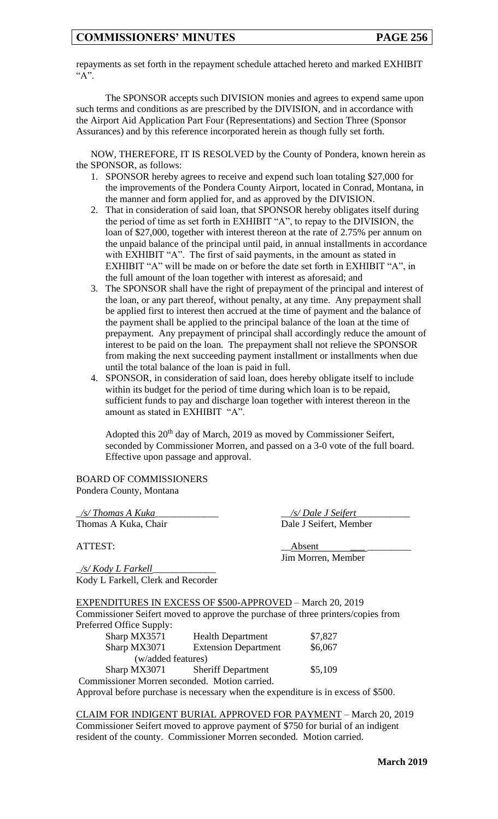repayments as set forth in the repayment schedule attached hereto and marked EXHIBIT  $``A"$ .

The SPONSOR accepts such DIVISION monies and agrees to expend same upon such terms and conditions as are prescribed by the DIVISION, and in accordance with the Airport Aid Application Part Four (Representations) and Section Three (Sponsor Assurances) and by this reference incorporated herein as though fully set forth.

NOW, THEREFORE, IT IS RESOLVED by the County of Pondera, known herein as the SPONSOR, as follows:

- 1. SPONSOR hereby agrees to receive and expend such loan totaling \$27,000 for the improvements of the Pondera County Airport, located in Conrad, Montana, in the manner and form applied for, and as approved by the DIVISION.
- 2. That in consideration of said loan, that SPONSOR hereby obligates itself during the period of time as set forth in EXHIBIT "A", to repay to the DIVISION, the loan of \$27,000, together with interest thereon at the rate of 2.75% per annum on the unpaid balance of the principal until paid, in annual installments in accordance with EXHIBIT "A". The first of said payments, in the amount as stated in EXHIBIT "A" will be made on or before the date set forth in EXHIBIT "A", in the full amount of the loan together with interest as aforesaid; and
- 3. The SPONSOR shall have the right of prepayment of the principal and interest of the loan, or any part thereof, without penalty, at any time. Any prepayment shall be applied first to interest then accrued at the time of payment and the balance of the payment shall be applied to the principal balance of the loan at the time of prepayment. Any prepayment of principal shall accordingly reduce the amount of interest to be paid on the loan. The prepayment shall not relieve the SPONSOR from making the next succeeding payment installment or installments when due until the total balance of the loan is paid in full.
- 4. SPONSOR, in consideration of said loan, does hereby obligate itself to include within its budget for the period of time during which loan is to be repaid, sufficient funds to pay and discharge loan together with interest thereon in the amount as stated in EXHIBIT "A".

Adopted this 20th day of March, 2019 as moved by Commissioner Seifert, seconded by Commissioner Morren, and passed on a 3-0 vote of the full board. Effective upon passage and approval.

BOARD OF COMMISSIONERS Pondera County, Montana

\_*/s/ Thomas A Kuka*\_\_\_\_\_\_\_\_\_\_\_\_\_ \_\_*/s/ Dale J Seifert*\_\_\_\_\_\_\_\_\_\_\_ Thomas A Kuka, Chair Dale J Seifert, Member

ATTEST: \_\_Absent *\_\_\_* \_\_\_\_\_\_\_\_\_ Jim Morren, Member

\_*/s/ Kody L Farkell*\_\_\_\_\_\_\_\_\_\_\_\_\_ Kody L Farkell, Clerk and Recorder

EXPENDITURES IN EXCESS OF \$500-APPROVED – March 20, 2019 Commissioner Seifert moved to approve the purchase of three printers/copies from Preferred Office Supply:

| Sharp MX3571                                  | <b>Health Department</b>        | \$7,827 |  |
|-----------------------------------------------|---------------------------------|---------|--|
| Sharp MX3071                                  | <b>Extension Department</b>     | \$6,067 |  |
| (w/added features)                            |                                 |         |  |
|                                               | Sharp MX3071 Sheriff Department | \$5,109 |  |
| Commissioner Morren seconded. Motion carried. |                                 |         |  |
|                                               |                                 |         |  |

Approval before purchase is necessary when the expenditure is in excess of \$500.

CLAIM FOR INDIGENT BURIAL APPROVED FOR PAYMENT – March 20, 2019 Commissioner Seifert moved to approve payment of \$750 for burial of an indigent resident of the county. Commissioner Morren seconded. Motion carried.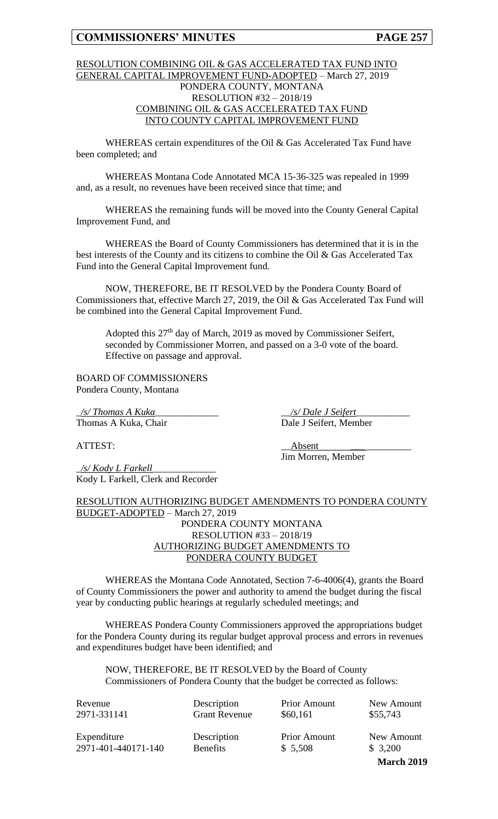#### RESOLUTION COMBINING OIL & GAS ACCELERATED TAX FUND INTO GENERAL CAPITAL IMPROVEMENT FUND-ADOPTED – March 27, 2019 PONDERA COUNTY, MONTANA RESOLUTION #32 – 2018/19 COMBINING OIL & GAS ACCELERATED TAX FUND INTO COUNTY CAPITAL IMPROVEMENT FUND

WHEREAS certain expenditures of the Oil & Gas Accelerated Tax Fund have been completed; and

WHEREAS Montana Code Annotated MCA 15-36-325 was repealed in 1999 and, as a result, no revenues have been received since that time; and

WHEREAS the remaining funds will be moved into the County General Capital Improvement Fund, and

WHEREAS the Board of County Commissioners has determined that it is in the best interests of the County and its citizens to combine the Oil & Gas Accelerated Tax Fund into the General Capital Improvement fund.

NOW, THEREFORE, BE IT RESOLVED by the Pondera County Board of Commissioners that, effective March 27, 2019, the Oil & Gas Accelerated Tax Fund will be combined into the General Capital Improvement Fund.

Adopted this 27<sup>th</sup> day of March, 2019 as moved by Commissioner Seifert, seconded by Commissioner Morren, and passed on a 3-0 vote of the board. Effective on passage and approval.

BOARD OF COMMISSIONERS Pondera County, Montana

\_*/s/ Thomas A Kuka*\_\_\_\_\_\_\_\_\_\_\_\_\_ \_\_*/s/ Dale J Seifert*\_\_\_\_\_\_\_\_\_\_\_ Thomas A Kuka, Chair Dale J Seifert, Member

\_*/s/ Kody L Farkell*\_\_\_\_\_\_\_\_\_\_\_\_\_ Kody L Farkell, Clerk and Recorder

ATTEST: \_\_Absent *\_\_\_* \_\_\_\_\_\_\_\_\_ Jim Morren, Member

RESOLUTION AUTHORIZING BUDGET AMENDMENTS TO PONDERA COUNTY BUDGET-ADOPTED – March 27, 2019 PONDERA COUNTY MONTANA RESOLUTION #33 – 2018/19 AUTHORIZING BUDGET AMENDMENTS TO PONDERA COUNTY BUDGET

WHEREAS the Montana Code Annotated, Section 7-6-4006(4), grants the Board of County Commissioners the power and authority to amend the budget during the fiscal year by conducting public hearings at regularly scheduled meetings; and

WHEREAS Pondera County Commissioners approved the appropriations budget for the Pondera County during its regular budget approval process and errors in revenues and expenditures budget have been identified; and

NOW, THEREFORE, BE IT RESOLVED by the Board of County Commissioners of Pondera County that the budget be corrected as follows:

| Revenue             | Description          | <b>Prior Amount</b> | New Amount |
|---------------------|----------------------|---------------------|------------|
| 2971-331141         | <b>Grant Revenue</b> | \$60,161            | \$55,743   |
| Expenditure         | Description          | <b>Prior Amount</b> | New Amount |
| 2971-401-440171-140 | <b>Benefits</b>      | \$5,508             | \$3,200    |

**March 2019**